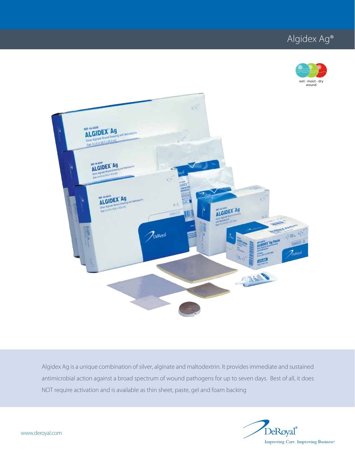# Algidex Ag®





Algidex Ag is a unique combination of silver, alginate and maltodextrin. It provides immediate and sustained antimicrobial action against a broad spectrum of wound pathogens for up to seven days. Best of all, it does NOT require activation and is available as thin sheet, paste, gel and foam backing

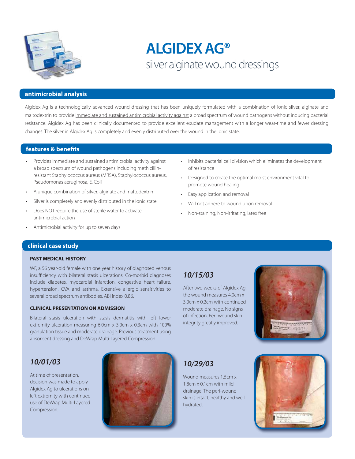

# **ALGIDEX AG®** silver alginate wound dressings

#### **antimicrobial analysis**

Algidex Ag is a technologically advanced wound dressing that has been uniquely formulated with a combination of ionic silver, alginate and maltodextrin to provide immediate and sustained antimicrobial activity against a broad spectrum of wound pathogens without inducing bacterial resistance. Algidex Ag has been clinically documented to provide excellent exudate management with a longer wear-time and fewer dressing changes. The silver in Algidex Ag is completely and evenly distributed over the wound in the ionic state.

#### **features & benefits**

- Provides immediate and sustained antimicrobial activity against a broad spectrum of wound pathogens including methicillinresistant Staphylococcus aureus (MRSA), Staphylococcus aureus, Pseudomonas aeruginosa, E. Coli
- A unique combination of silver, alginate and maltodextrin
- Silver is completely and evenly distributed in the ionic state
- Does NOT require the use of sterile water to activate antimicrobial action
- Antimicrobial activity for up to seven days
- Inhibits bacterial cell division which eliminates the development of resistance
- Designed to create the optimal moist environment vital to promote wound healing
- Easy application and removal
- Will not adhere to wound upon removal
- Non-staining, Non-irritating, latex free

### **clinical case study**

#### **PAST MEDICAL HISTORY**

WF, a 56 year-old female with one year history of diagnosed venous insufficiency with bilateral stasis ulcerations. Co-morbid diagnoses include diabetes, myocardial infarction, congestive heart failure, hypertension, CVA and asthma. Extensive allergic sensitivities to several broad spectrum antibodies. ABI index 0.86.

#### **CLINICAL PRESENTATION ON ADMISSION**

Bilateral stasis ulceration with stasis dermatitis with left lower extremity ulceration measuring 6.0cm x 3.0cm x 0.3cm with 100% granulation tissue and moderate drainage. Previous treatment using absorbent dressing and DeWrap Multi-Layered Compression.

## *10/01/03*

At time of presentation, decision was made to apply Algidex Ag to ulcerations on left extremity with continued use of DeWrap Multi-Layered Compression.



# *10/15/03*

After two weeks of Algidex Ag, the wound measures 4.0cm x 3.0cm x 0.2cm with continued moderate drainage. No signs of infection. Peri-wound skin integrity greatly improved.



# *10/29/03*

Wound measures 1.5cm x 1.8cm x 0.1cm with mild drainage. The peri-wound skin is intact, healthy and well hydrated.

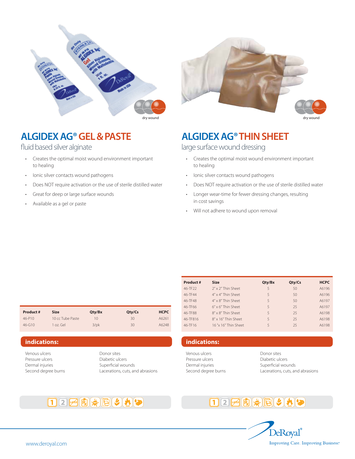

# **ALGIDEX AG® GEL & PASTE**

fluid based silver alginate

- Creates the optimal moist wound environment important to healing
- Ionic silver contacts wound pathogens
- Does NOT require activation or the use of sterile distilled water
- Great for deep or large surface wounds
- Available as a gel or paste



# **ALGIDEX AG® THIN SHEET**

large surface wound dressing

- Creates the optimal moist wound environment important to healing
	- Ionic silver contacts wound pathogens
	- Does NOT require activation or the use of sterile distilled water
	- Longer wear-time for fewer dressing changes, resulting in cost savings
	- Will not adhere to wound upon removal

| Product#   | <b>Size</b>      | Qty/Bx  | Qty/Cs | <b>HCPC</b> |
|------------|------------------|---------|--------|-------------|
| $46 - P10$ | 10 cc Tube Paste | 10      | 30     | A6261       |
| $46 - 610$ | $1$ oz. Gel      | $3$ /pk | 30     | A6248       |

Venous ulcers Pressure ulcers Dermal injuries Second degree burns Donor sites Diabetic ulcers Superficial wounds Lacerations, cuts, and abrasions

| Product#            | <b>Size</b>                 | Qty/Bx | Qty/Cs | <b>HCPC</b> |
|---------------------|-----------------------------|--------|--------|-------------|
| 46-TF <sub>22</sub> | $2'' \times 2''$ Thin Sheet | 5      | 50     | A6196       |
| 46-TF44             | $4'' \times 4''$ Thin Sheet | 5      | 50     | A6196       |
| 46-TF48             | 4" x 8" Thin Sheet          | 5      | 50     | A6197       |
| 46-TF66             | $6'' \times 6''$ Thin Sheet | 5      | 25     | A6197       |
| 46-TF88             | 8" x 8" Thin Sheet          | 5      | 25     | A6198       |
| 46-TF816            | 8" x 16" Thin Sheet         | 5      | 25     | A6198       |
| 46-TF16             | 16"x 16" Thin Sheet         | 5      | 25     | A6198       |

#### **indications: indications:**

Venous ulcers Pressure ulcers Dermal injuries Second degree burns

Donor sites Diabetic ulcers Superficial wounds Lacerations, cuts, and abrasions

# 122420000



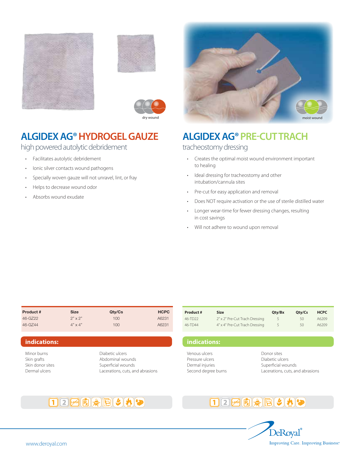





# **ALGIDEX AG® HYDROGEL GAUZE**

high powered autolytic debridement

- Facilitates autolytic debridement
- Ionic silver contacts wound pathogens
- Specially woven gauze will not unravel, lint, or fray
- Helps to decrease wound odor
- Absorbs wound exudate



# **ALGIDEX AG® PRE-CUT TRACH**

tracheostomy dressing

- Creates the optimal moist wound environment important to healing
	- Ideal dressing for tracheostomy and other intubation/cannula sites
	- Pre-cut for easy application and removal
	- Does NOT require activation or the use of sterile distilled water
	- Longer wear-time for fewer dressing changes, resulting in cost savings
	- Will not adhere to wound upon removal

| Product# | <b>Size</b>    | Qty/Cs  | <b>HCPC</b> |
|----------|----------------|---------|-------------|
| 46-GZ22  | $2" \times 2"$ | $100 -$ | A6231       |
| 46-G744  | $4" \times 4"$ | $100 -$ | A6231       |

### **indications:**

Minor burns Skin grafts Skin donor sites Dermal ulcers

Diabetic ulcers Abdominal wounds Superficial wounds Lacerations, cuts, and abrasions

| <b>Product #</b> | <b>Size</b>                    | Qtv/Bx        | Qty/Cs | <b>HCPC</b> |
|------------------|--------------------------------|---------------|--------|-------------|
| $46 - TD22$      | 2" x 2" Pre-Cut Trach Dressing | $\mathcal{L}$ | 50     | A6209       |
| 46-TD44          | 4" x 4" Pre-Cut Trach Dressing | 5             | 50     | A6209       |

**indications:**

Venous ulcers Pressure ulcers Dermal injuries Second degree burns Donor sites Diabetic ulcers Superficial wounds Lacerations, cuts, and abrasions





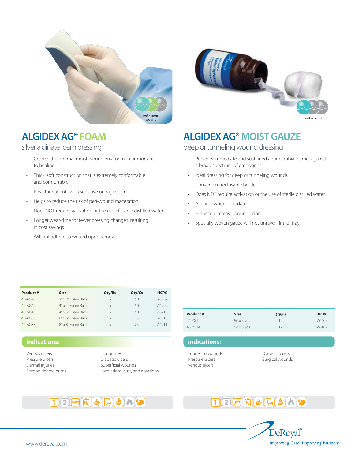

# **ALGIDEX AG® FOAM**

silver alginate foam dressing

- Creates the optimal moist wound environment important to healing
- Thick, soft construction that is extremely conformable and comfortable
- Ideal for patients with sensitive or fragile skin
- Helps to reduce the risk of peri-wound maceration
- Does NOT require activation or the use of sterile distilled water
- Longer wear-time for fewer dressing changes, resulting in cost savings
- Will not adhere to wound upon removal



# **ALGIDEX AG® MOIST GAUZE**

# deep or tunneling wound dressing

- Provides immediate and sustained antimicrobial barrier against a broad spectrum of pathogens
- Ideal dressing for deep or tunneling wounds
- Convenient reclosable bottle
- Does NOT require activation or the use of sterile distilled water
- Absorbs wound exudate
- Helps to decrease wound odor
- Specially woven gauze will not unravel, lint, or fray

| Product#          | <b>Size</b>                | Qty/Bx | Qty/Cs | <b>HCPC</b> |
|-------------------|----------------------------|--------|--------|-------------|
| $46 - A(7)$       | 2" x 2" Foam Back          | 5      | 50     | A6209       |
| $46 - A$ $6 - 44$ | 4" x 4" Foam Back          | 5      | 50     | A6209       |
| $46 - AG45$       | 4" x 5" Foam Back          | 5      | 50     | A6210       |
| $46 - A066$       | $6'' \times 6''$ Foam Back | 5      | 25     | A6210       |
| 46-AG88           | 8" x 8" Foam Back          | 5      | 25     | A6211       |

12213米日302

### **indications:**

Venous ulcers Pressure ulcers Dermal injuries Second degree burns

Donor sites Diabetic ulcers Superficial wounds Lacerations, cuts, and abrasions

| Product #   | <b>Size</b>              | Qty/Cs | <b>HCPC</b> |
|-------------|--------------------------|--------|-------------|
| $46 - PG12$ | $\frac{1}{2}$ " x 5 yds. | 12     | A6407       |
| $46 - PG14$ | $\frac{1}{4}$ x 5 yds.   | 12     | A6407       |

Tunneling wounds Pressure ulcers Venous ulcers

**indications:**

Diabetic ulcers Surgical wounds

# $12F($



#### www.deroyal.com